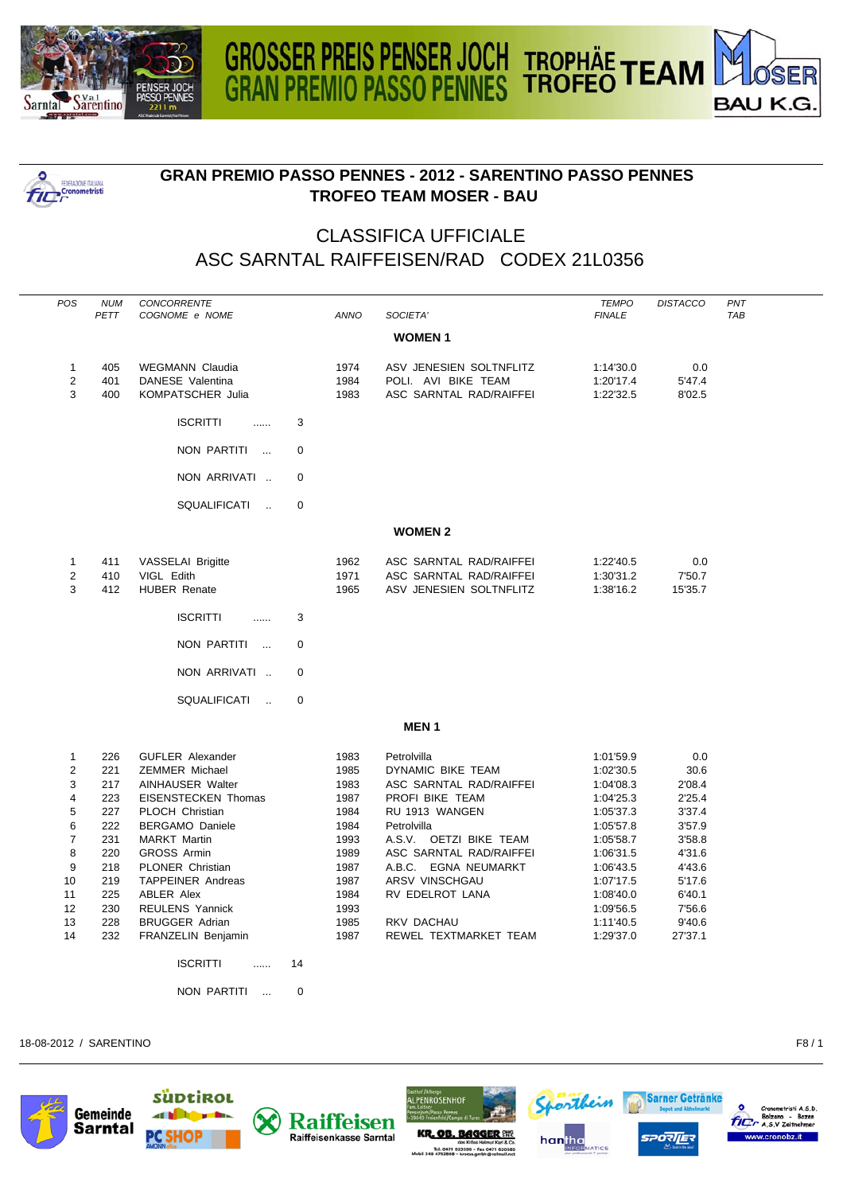

**POSTAGE IN THE CONDUCT IN THE PROPERTY OF** 



## **GRAN PREMIO PASSO PENNES - 2012 - SARENTINO PASSO PENNES TROFEO TEAM MOSER - BAU**

## CLASSIFICA UFFICIALE ASC SARNTAL RAIFFEISEN/RAD CODEX 21L0356

| POS            | <b>NUM</b><br>PETT | CONCORRENTE<br>COGNOME e NOME           |             | ANNO | SOCIETA'                | <b>TEMPO</b><br><b>FINALE</b> | <b>DISTACCO</b> | PNT<br><b>TAB</b> |
|----------------|--------------------|-----------------------------------------|-------------|------|-------------------------|-------------------------------|-----------------|-------------------|
|                |                    |                                         |             |      |                         |                               |                 |                   |
|                |                    |                                         |             |      | <b>WOMEN1</b>           |                               |                 |                   |
| $\mathbf{1}$   | 405                | <b>WEGMANN Claudia</b>                  |             | 1974 | ASV JENESIEN SOLTNFLITZ | 1:14'30.0                     | 0.0             |                   |
| $\overline{2}$ | 401                | DANESE Valentina                        |             | 1984 | POLI. AVI BIKE TEAM     | 1:20'17.4                     | 5'47.4          |                   |
| 3              | 400                | KOMPATSCHER Julia                       |             | 1983 | ASC SARNTAL RAD/RAIFFEI | 1:22'32.5                     | 8'02.5          |                   |
|                |                    | <b>ISCRITTI</b><br>.                    | 3           |      |                         |                               |                 |                   |
|                |                    | NON PARTITI<br>$\sim$                   | $\mathbf 0$ |      |                         |                               |                 |                   |
|                |                    | NON ARRIVATI                            | $\Omega$    |      |                         |                               |                 |                   |
|                |                    | SQUALIFICATI<br>$\sim$                  | $\mathbf 0$ |      |                         |                               |                 |                   |
|                |                    |                                         |             |      | <b>WOMEN 2</b>          |                               |                 |                   |
| $\mathbf{1}$   | 411                | VASSELAI Brigitte                       |             | 1962 | ASC SARNTAL RAD/RAIFFEI | 1:22'40.5                     | 0.0             |                   |
| $\sqrt{2}$     | 410                | VIGL Edith                              |             | 1971 | ASC SARNTAL RAD/RAIFFEI | 1:30'31.2                     | 7'50.7          |                   |
| 3              | 412                | <b>HUBER Renate</b>                     |             | 1965 | ASV JENESIEN SOLTNFLITZ | 1:38'16.2                     | 15'35.7         |                   |
|                |                    |                                         |             |      |                         |                               |                 |                   |
|                |                    | <b>ISCRITTI</b><br>.                    | 3           |      |                         |                               |                 |                   |
|                |                    | NON PARTITI<br>$\overline{\phantom{a}}$ | $\mathbf 0$ |      |                         |                               |                 |                   |
|                |                    | NON ARRIVATI                            | $\mathbf 0$ |      |                         |                               |                 |                   |
|                |                    | <b>SQUALIFICATI</b><br>$\mathbf{r}$     | $\mathbf 0$ |      |                         |                               |                 |                   |
|                |                    |                                         |             |      | <b>MEN1</b>             |                               |                 |                   |
| $\mathbf{1}$   | 226                | <b>GUFLER Alexander</b>                 |             | 1983 | Petrolvilla             | 1:01'59.9                     | 0.0             |                   |
| 2              | 221                | <b>ZEMMER Michael</b>                   |             | 1985 | DYNAMIC BIKE TEAM       | 1:02'30.5                     | 30.6            |                   |
| 3              | 217                | AINHAUSER Walter                        |             | 1983 | ASC SARNTAL RAD/RAIFFEI | 1:04'08.3                     | 2'08.4          |                   |
| $\overline{4}$ | 223                | <b>EISENSTECKEN Thomas</b>              |             | 1987 | PROFI BIKE TEAM         | 1:04'25.3                     | 2'25.4          |                   |
| 5              | 227                | PLOCH Christian                         |             | 1984 | RU 1913 WANGEN          | 1:05'37.3                     | 3'37.4          |                   |
| 6              | 222                | <b>BERGAMO Daniele</b>                  |             | 1984 | Petrolvilla             | 1:05'57.8                     | 3'57.9          |                   |
| $\overline{7}$ | 231                | <b>MARKT Martin</b>                     |             | 1993 | A.S.V. OETZI BIKE TEAM  | 1:05'58.7                     | 3'58.8          |                   |
| 8              | 220                | <b>GROSS Armin</b>                      |             | 1989 | ASC SARNTAL RAD/RAIFFEI | 1:06'31.5                     | 4'31.6          |                   |
| 9              | 218                | PLONER Christian                        |             | 1987 | A.B.C. EGNA NEUMARKT    | 1:06'43.5                     | 4'43.6          |                   |
| 10             | 219                | <b>TAPPEINER Andreas</b>                |             | 1987 | ARSV VINSCHGAU          | 1:07'17.5                     | 5'17.6          |                   |
| 11             | 225                | <b>ABLER Alex</b>                       |             | 1984 | RV EDELROT LANA         | 1:08'40.0                     | 6'40.1          |                   |
| 12             | 230                | <b>REULENS Yannick</b>                  |             | 1993 |                         | 1:09'56.5                     | 7'56.6          |                   |
| 13             | 228                | <b>BRUGGER Adrian</b>                   |             | 1985 | RKV DACHAU              | 1:11'40.5                     | 9'40.6          |                   |
| 14             | 232                | FRANZELIN Benjamin                      |             | 1987 | REWEL TEXTMARKET TEAM   | 1:29'37.0                     | 27'37.1         |                   |
|                |                    | <b>ISCRITTI</b><br>.                    | 14          |      |                         |                               |                 |                   |
|                |                    | <b>NON PARTITI</b><br>$\sim$            | 0           |      |                         |                               |                 |                   |
|                |                    |                                         |             |      |                         |                               |                 |                   |

18-08-2012 / SARENTINO F8 / 1











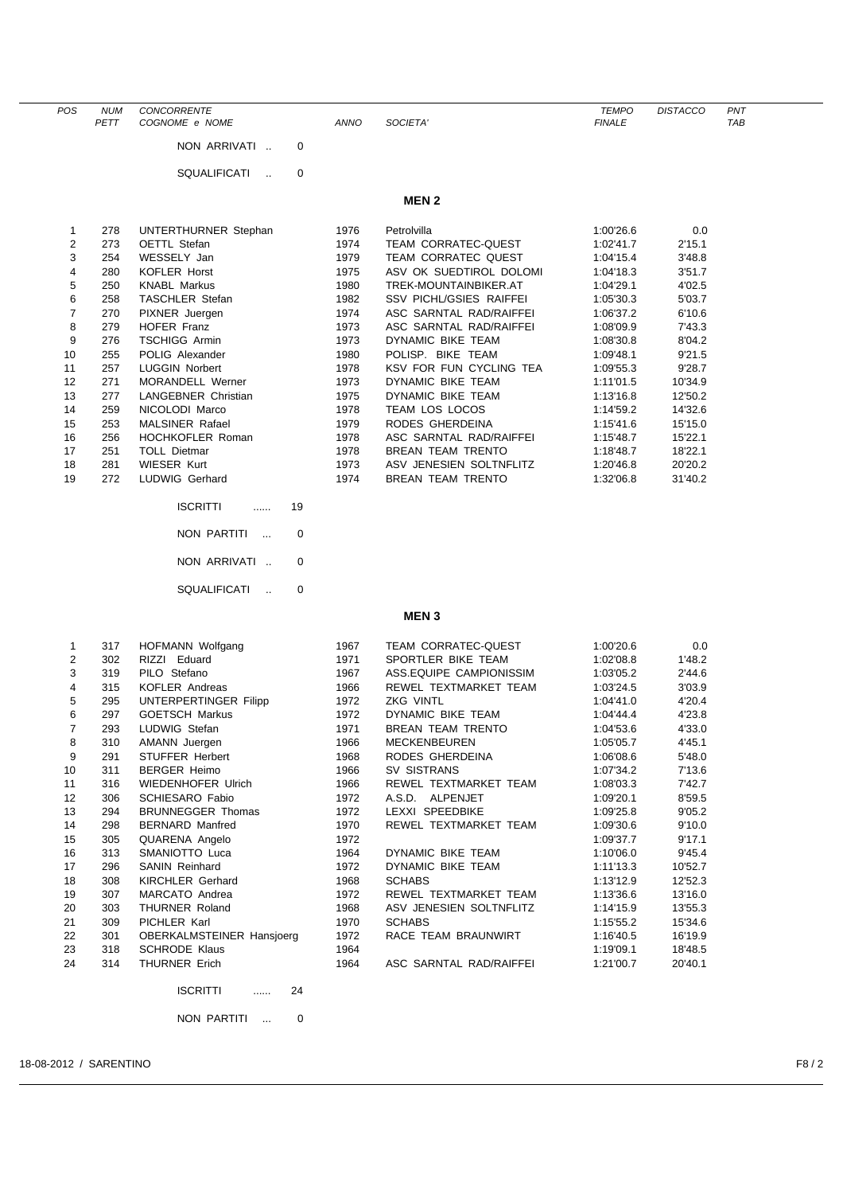| POS            | <b>NUM</b> | CONCORRENTE                      |             |                                | <b>TEMPO</b>  | <b>DISTACCO</b> | PNT        |
|----------------|------------|----------------------------------|-------------|--------------------------------|---------------|-----------------|------------|
|                | PETT       | COGNOME e NOME                   | <b>ANNO</b> | SOCIETA'                       | <b>FINALE</b> |                 | <b>TAB</b> |
|                |            | NON ARRIVATI<br>0                |             |                                |               |                 |            |
|                |            |                                  |             |                                |               |                 |            |
|                |            |                                  |             |                                |               |                 |            |
|                |            | SQUALIFICATI<br>0                |             |                                |               |                 |            |
|                |            |                                  |             |                                |               |                 |            |
|                |            |                                  |             | <b>MEN2</b>                    |               |                 |            |
|                |            |                                  |             |                                |               |                 |            |
| 1              | 278        | UNTERTHURNER Stephan             | 1976        | Petrolvilla                    | 1:00'26.6     | 0.0             |            |
| $\overline{2}$ | 273        | OETTL Stefan                     | 1974        | <b>TEAM CORRATEC-QUEST</b>     | 1:02'41.7     | 2'15.1          |            |
| 3              | 254        | WESSELY Jan                      | 1979        | <b>TEAM CORRATEC QUEST</b>     | 1:04'15.4     | 3'48.8          |            |
| 4              | 280        | <b>KOFLER Horst</b>              | 1975        | ASV OK SUEDTIROL DOLOMI        | 1:04'18.3     | 3'51.7          |            |
| 5              | 250        | <b>KNABL Markus</b>              | 1980        | TREK-MOUNTAINBIKER.AT          | 1:04'29.1     | 4'02.5          |            |
| 6              | 258        | <b>TASCHLER Stefan</b>           | 1982        | <b>SSV PICHL/GSIES RAIFFEI</b> | 1:05'30.3     | 5'03.7          |            |
| $\overline{7}$ | 270        | PIXNER Juergen                   | 1974        | ASC SARNTAL RAD/RAIFFEI        | 1:06'37.2     | 6'10.6          |            |
| 8              | 279        | HOFER Franz                      | 1973        | ASC SARNTAL RAD/RAIFFEI        | 1:08'09.9     | 7'43.3          |            |
| 9              | 276        | <b>TSCHIGG Armin</b>             | 1973        | DYNAMIC BIKE TEAM              | 1:08'30.8     | 8'04.2          |            |
| 10             | 255        | POLIG Alexander                  | 1980        | POLISP. BIKE TEAM              | 1:09'48.1     | 9'21.5          |            |
| 11             | 257        | <b>LUGGIN Norbert</b>            | 1978        | KSV FOR FUN CYCLING TEA        | 1:09'55.3     | 9'28.7          |            |
| 12             | 271        | MORANDELL Werner                 | 1973        | DYNAMIC BIKE TEAM              | 1:11'01.5     | 10'34.9         |            |
| 13             | 277        | LANGEBNER Christian              | 1975        | DYNAMIC BIKE TEAM              | 1:13'16.8     | 12'50.2         |            |
| 14             | 259        | NICOLODI Marco                   | 1978        | TEAM LOS LOCOS                 | 1:14'59.2     | 14'32.6         |            |
| 15             | 253        | <b>MALSINER Rafael</b>           | 1979        | RODES GHERDEINA                | 1:15'41.6     | 15'15.0         |            |
| 16             | 256        | <b>HOCHKOFLER Roman</b>          | 1978        | ASC SARNTAL RAD/RAIFFEI        | 1:15'48.7     | 15'22.1         |            |
| 17             | 251        | <b>TOLL Dietmar</b>              | 1978        | <b>BREAN TEAM TRENTO</b>       | 1:18'48.7     | 18'22.1         |            |
| 18             | 281        | <b>WIESER Kurt</b>               | 1973        | ASV JENESIEN SOLTNFLITZ        | 1:20'46.8     | 20'20.2         |            |
| 19             | 272        | LUDWIG Gerhard                   | 1974        | <b>BREAN TEAM TRENTO</b>       | 1:32'06.8     | 31'40.2         |            |
|                |            |                                  |             |                                |               |                 |            |
|                |            | <b>ISCRITTI</b>                  |             |                                |               |                 |            |
|                |            | 19                               |             |                                |               |                 |            |
|                |            |                                  |             |                                |               |                 |            |
|                |            | NON PARTITI<br>0<br>$\sim$       |             |                                |               |                 |            |
|                |            |                                  |             |                                |               |                 |            |
|                |            | NON ARRIVATI<br>0                |             |                                |               |                 |            |
|                |            |                                  |             |                                |               |                 |            |
|                |            | SQUALIFICATI<br>0<br>$\ddotsc$   |             |                                |               |                 |            |
|                |            |                                  |             | <b>MEN3</b>                    |               |                 |            |
|                |            |                                  |             |                                |               |                 |            |
|                |            |                                  |             |                                |               |                 |            |
| 1              | 317        | HOFMANN Wolfgang                 | 1967        | TEAM CORRATEC-QUEST            | 1:00'20.6     | 0.0             |            |
| $\overline{2}$ | 302        | RIZZI Eduard                     | 1971        | SPORTLER BIKE TEAM             | 1:02'08.8     | 1'48.2          |            |
| 3              | 319        | PILO Stefano                     | 1967        | ASS.EQUIPE CAMPIONISSIM        | 1:03'05.2     | 2'44.6          |            |
| 4              | 315        | KOFLER Andreas                   | 1966        | REWEL TEXTMARKET TEAM          | 1:03'24.5     | 3'03.9          |            |
| 5              | 295        | UNTERPERTINGER Filipp            | 1972        | ZKG VINTL                      | 1:04'41.0     | 4'20.4          |            |
| 6              | 297        | <b>GOETSCH Markus</b>            | 1972        | DYNAMIC BIKE TEAM              | 1:04'44.4     | 4'23.8          |            |
| $\overline{7}$ | 293        | LUDWIG Stefan                    | 1971        | BREAN TEAM TRENTO              | 1:04'53.6     | 4'33.0          |            |
| 8              | 310        | AMANN Juergen                    | 1966        | MECKENBEUREN                   | 1:05'05.7     | 4'45.1          |            |
| 9              | 291        | <b>STUFFER Herbert</b>           | 1968        | RODES GHERDEINA                | 1:06'08.6     | 5'48.0          |            |
| 10             | 311        | <b>BERGER Heimo</b>              | 1966        | SV SISTRANS                    | 1:07'34.2     | 7'13.6          |            |
| 11             | 316        | <b>WIEDENHOFER Ulrich</b>        | 1966        | REWEL TEXTMARKET TEAM          | 1:08'03.3     | 7'42.7          |            |
| 12             | 306        | SCHIESARO Fabio                  | 1972        | A.S.D. ALPENJET                | 1:09'20.1     | 8'59.5          |            |
| 13             | 294        | <b>BRUNNEGGER Thomas</b>         | 1972        | LEXXI SPEEDBIKE                | 1:09'25.8     | 9'05.2          |            |
| 14             | 298        | <b>BERNARD Manfred</b>           | 1970        | REWEL TEXTMARKET TEAM          | 1:09'30.6     | 9'10.0          |            |
| 15             | 305        | QUARENA Angelo                   | 1972        |                                | 1:09'37.7     | 9'17.1          |            |
| 16             | 313        | SMANIOTTO Luca                   | 1964        | DYNAMIC BIKE TEAM              | 1:10'06.0     | 9'45.4          |            |
| 17             | 296        | SANIN Reinhard                   | 1972        | DYNAMIC BIKE TEAM              | 1:11'13.3     | 10'52.7         |            |
| 18             | 308        | <b>KIRCHLER Gerhard</b>          | 1968        | <b>SCHABS</b>                  | 1:13'12.9     | 12'52.3         |            |
| 19             | 307        | MARCATO Andrea                   | 1972        | REWEL TEXTMARKET TEAM          | 1:13'36.6     | 13'16.0         |            |
| 20             | 303        | THURNER Roland                   | 1968        | ASV JENESIEN SOLTNFLITZ        | 1:14'15.9     | 13'55.3         |            |
| 21             | 309        | PICHLER Karl                     | 1970        | <b>SCHABS</b>                  | 1:15'55.2     | 15'34.6         |            |
| 22             | 301        | <b>OBERKALMSTEINER Hansjoerg</b> | 1972        | RACE TEAM BRAUNWIRT            | 1:16'40.5     | 16'19.9         |            |
| 23             | 318        | <b>SCHRODE Klaus</b>             | 1964        |                                | 1:19'09.1     | 18'48.5         |            |
| 24             | 314        | THURNER Erich                    | 1964        | ASC SARNTAL RAD/RAIFFEI        | 1:21'00.7     | 20'40.1         |            |

ISCRITTI ...... 24

NON PARTITI ... 0

18-08-2012 / SARENTINO F8 / 2